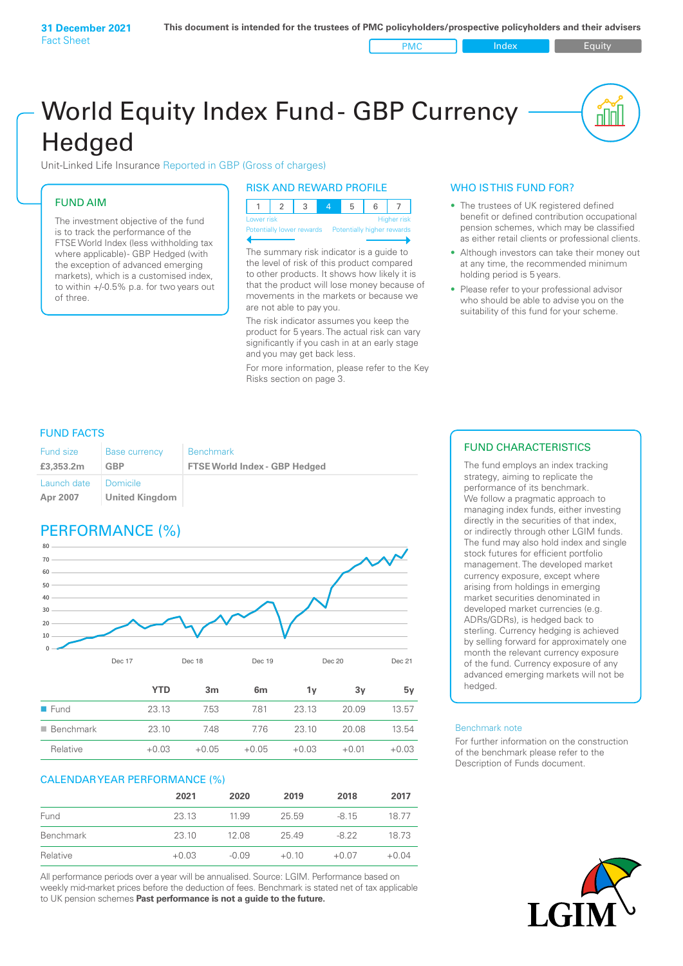PMC Index PMC Equity

nn

# World Equity Index Fund- GBP Currency **Hedged**

Unit-Linked Life Insurance Reported in GBP (Gross of charges)

### FUND AIM

The investment objective of the fund is to track the performance of the FTSE World Index (less withholding tax where applicable) - GBP Hedged (with the exception of advanced emerging markets), which is a customised index, to within +/‑0.5% p.a. for two years out of three.

### RISK AND REWARD PROFILE

| Lower risk |  |  |  | Higher risk |
|------------|--|--|--|-------------|

ntially lower rewards

The summary risk indicator is a guide to the level of risk of this product compared to other products. It shows how likely it is that the product will lose money because of movements in the markets or because we are not able to pay you.

The risk indicator assumes you keep the product for 5 years. The actual risk can vary significantly if you cash in at an early stage and you may get back less.

For more information, please refer to the Key Risks section on page 3.

### WHO IS THIS FUND FOR?

- The trustees of UK registered defined benefit or defined contribution occupational pension schemes, which may be classified as either retail clients or professional clients.
- Although investors can take their money out at any time, the recommended minimum holding period is 5 years.
- Please refer to your professional advisor who should be able to advise you on the suitability of this fund for your scheme.

### FUND FACTS

| Fund size               | <b>Base currency</b>       | <b>Benchmark</b>                     |
|-------------------------|----------------------------|--------------------------------------|
| £3,353.2m               | GBP                        | <b>FTSE World Index - GBP Hedged</b> |
| Launch date<br>Apr 2007 | Domicile<br>United Kingdom |                                      |

### PERFORMANCE (%)



|                          | YTD     | 3m      | 6m      | ΊV      | 3v      | 5۷      |
|--------------------------|---------|---------|---------|---------|---------|---------|
| $\blacksquare$ Fund      | 23.13   | 7.53    | 781     | 23.13   | 20.09   | 13.57   |
| $\blacksquare$ Benchmark | 23.10   | 748     | 776     | 23 10   | 20.08   | 13.54   |
| Relative                 | $+0.03$ | $+0.05$ | $+0.05$ | $+0.03$ | $+0.01$ | $+0.03$ |

### CALENDAR YEAR PERFORMANCE (%)

|           | 2021    | 2020    | 2019    | 2018    | 2017    |
|-----------|---------|---------|---------|---------|---------|
| Fund      | 23.13   | 11.99   | 25.59   | $-815$  | 1877    |
| Benchmark | 23.10   | 12.08   | 25.49   | $-8.22$ | 18.73   |
| Relative  | $+0.03$ | $-0.09$ | $+0.10$ | $+0.07$ | $+0.04$ |

All performance periods over a year will be annualised. Source: LGIM. Performance based on weekly mid-market prices before the deduction of fees. Benchmark is stated net of tax applicable to UK pension schemes **Past performance is not a guide to the future.**

### FUND CHARACTERISTICS

The fund employs an index tracking strategy, aiming to replicate the performance of its benchmark. We follow a pragmatic approach to managing index funds, either investing directly in the securities of that index, or indirectly through other LGIM funds. The fund may also hold index and single stock futures for efficient portfolio management. The developed market currency exposure, except where arising from holdings in emerging market securities denominated in developed market currencies (e.g. ADRs/GDRs), is hedged back to sterling. Currency hedging is achieved by selling forward for approximately one month the relevant currency exposure of the fund. Currency exposure of any advanced emerging markets will not be hedged.

#### Benchmark note

For further information on the construction of the benchmark please refer to the Description of Funds document.

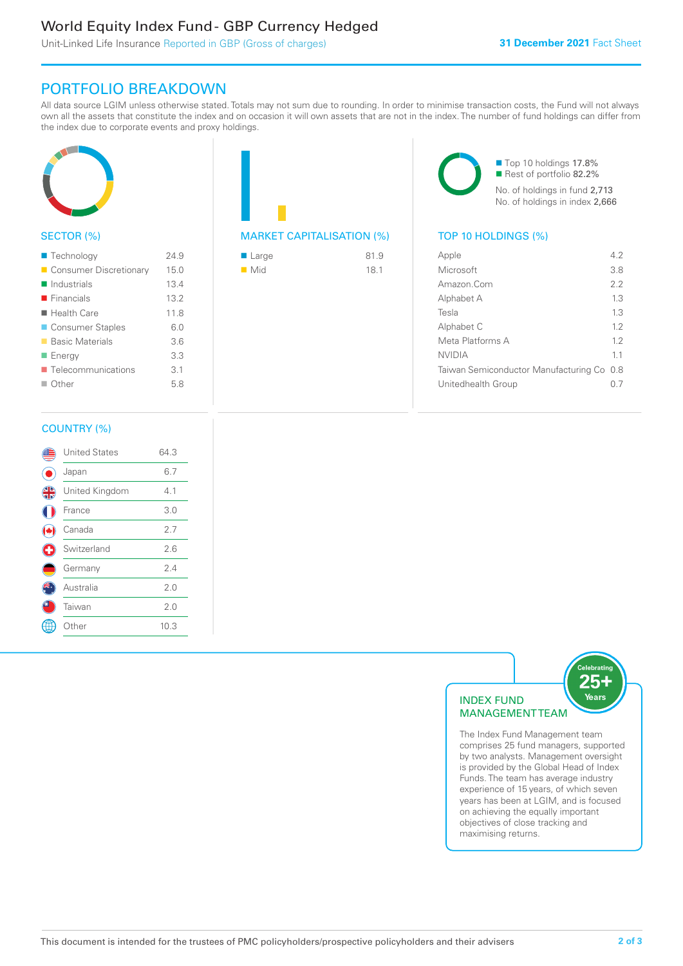### World Equity Index Fund - GBP Currency Hedged

Unit-Linked Life Insurance Reported in GBP (Gross of charges)

### PORTFOLIO BREAKDOWN

All data source LGIM unless otherwise stated. Totals may not sum due to rounding. In order to minimise transaction costs, the Fund will not always own all the assets that constitute the index and on occasion it will own assets that are not in the index. The number of fund holdings can differ from the index due to corporate events and proxy holdings.



### SECTOR (%)

| ■ Technology               | 24.9 |
|----------------------------|------|
| Consumer Discretionary     | 15.0 |
| $\blacksquare$ Industrials | 13.4 |
| $\blacksquare$ Financials  | 13.2 |
| $\blacksquare$ Health Care | 11.8 |
| ■ Consumer Staples         | 6.0  |
| ■ Basic Materials          | 3.6  |
| ■ Energy                   | 3.3  |
| Telecommunications         | 3.1  |
| $\Box$ Other               | 5.8  |
|                            |      |

## MARKET CAPITALISATION (%) TOP 10 HOLDINGS (%)

| $\blacksquare$ Large | 81.9 |
|----------------------|------|
| $\blacksquare$ Mid   | 18.1 |

■ Top 10 holdings 17.8% Rest of portfolio 82.2% No. of holdings in fund 2,713 No. of holdings in index 2,666

| Apple                                     | 42  |
|-------------------------------------------|-----|
| Microsoft                                 | 3.8 |
| Amazon.Com                                | 2.2 |
| Alphabet A                                | 13  |
| Tesla                                     | 13  |
| Alphabet C                                | 12  |
| Meta Platforms A                          | 12  |
| <b>NVIDIA</b>                             | 11  |
| Taiwan Semiconductor Manufacturing Co 0.8 |     |
| Unitedhealth Group                        |     |
|                                           |     |

### COUNTRY (%)

|   | <b>United States</b> | 64.3 |  |
|---|----------------------|------|--|
|   | Japan                | 6.7  |  |
| 4 | United Kingdom       | 4.1  |  |
|   | France               | 3.0  |  |
|   | Canada               | 2.7  |  |
| ÷ | Switzerland          | 2.6  |  |
|   | Germany              | 2.4  |  |
|   | Australia            | 2.0  |  |
|   | Taiwan               | 2.0  |  |
|   | : Other              | 10.3 |  |
|   |                      |      |  |



The Index Fund Management team comprises 25 fund managers, supported by two analysts. Management oversight is provided by the Global Head of Index Funds. The team has average industry experience of 15 years, of which seven years has been at LGIM, and is focused on achieving the equally important objectives of close tracking and maximising returns.